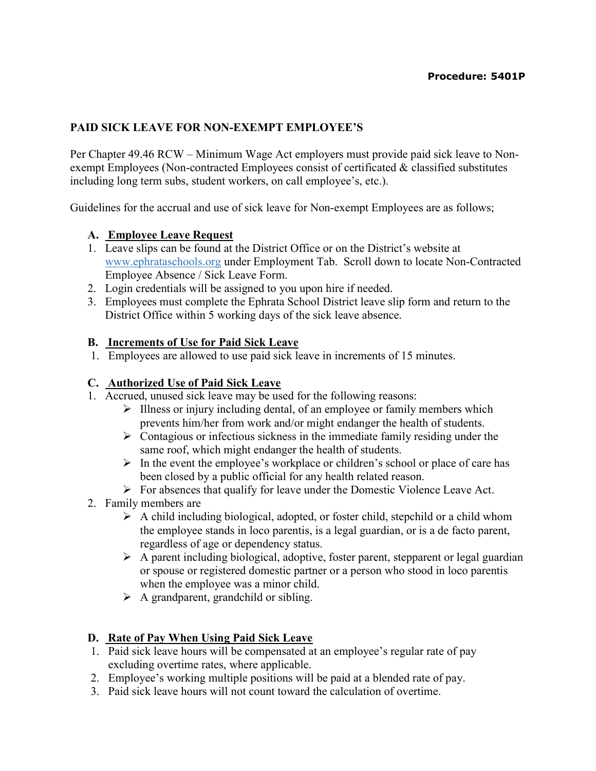## PAID SICK LEAVE FOR NON-EXEMPT EMPLOYEE'S

Per Chapter 49.46 RCW – Minimum Wage Act employers must provide paid sick leave to Nonexempt Employees (Non-contracted Employees consist of certificated & classified substitutes including long term subs, student workers, on call employee's, etc.).

Guidelines for the accrual and use of sick leave for Non-exempt Employees are as follows;

### A. Employee Leave Request

- 1. Leave slips can be found at the District Office or on the District's website at www.ephrataschools.org under Employment Tab. Scroll down to locate Non-Contracted Employee Absence / Sick Leave Form.
- 2. Login credentials will be assigned to you upon hire if needed.
- 3. Employees must complete the Ephrata School District leave slip form and return to the District Office within 5 working days of the sick leave absence.

#### B. Increments of Use for Paid Sick Leave

1. Employees are allowed to use paid sick leave in increments of 15 minutes.

### C. Authorized Use of Paid Sick Leave

- 1. Accrued, unused sick leave may be used for the following reasons:
	- $\triangleright$  Illness or injury including dental, of an employee or family members which prevents him/her from work and/or might endanger the health of students.
	- $\triangleright$  Contagious or infectious sickness in the immediate family residing under the same roof, which might endanger the health of students.
	- $\triangleright$  In the event the employee's workplace or children's school or place of care has been closed by a public official for any health related reason.
	- $\triangleright$  For absences that qualify for leave under the Domestic Violence Leave Act.
- 2. Family members are
	- $\triangleright$  A child including biological, adopted, or foster child, stepchild or a child whom the employee stands in loco parentis, is a legal guardian, or is a de facto parent, regardless of age or dependency status.
	- $\triangleright$  A parent including biological, adoptive, foster parent, stepparent or legal guardian or spouse or registered domestic partner or a person who stood in loco parentis when the employee was a minor child.
	- $\triangleright$  A grandparent, grandchild or sibling.

### D. Rate of Pay When Using Paid Sick Leave

- 1. Paid sick leave hours will be compensated at an employee's regular rate of pay excluding overtime rates, where applicable.
- 2. Employee's working multiple positions will be paid at a blended rate of pay.
- 3. Paid sick leave hours will not count toward the calculation of overtime.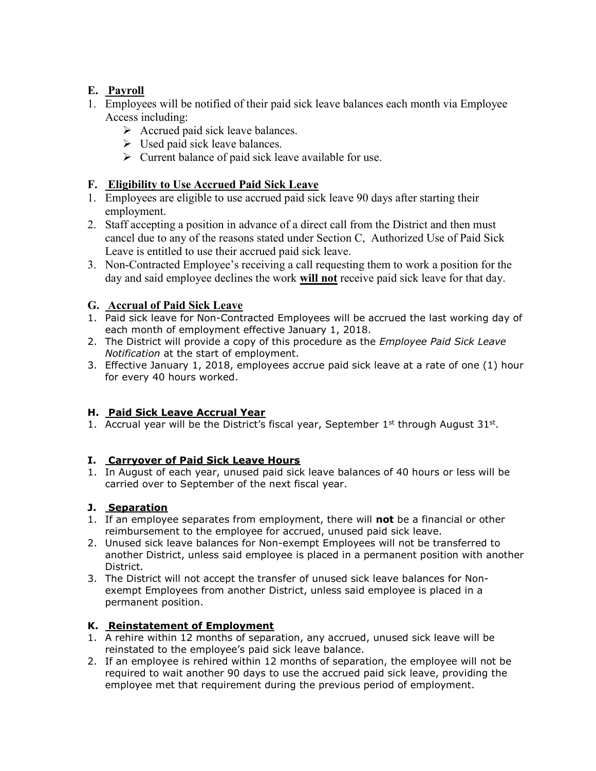# E. Payroll

- 1. Employees will be notified of their paid sick leave balances each month via Employee Access including:
	- $\triangleright$  Accrued paid sick leave balances.
	- $\triangleright$  Used paid sick leave balances.
	- $\triangleright$  Current balance of paid sick leave available for use.

## F. Eligibility to Use Accrued Paid Sick Leave

- 1. Employees are eligible to use accrued paid sick leave 90 days after starting their employment.
- 2. Staff accepting a position in advance of a direct call from the District and then must cancel due to any of the reasons stated under Section C, Authorized Use of Paid Sick Leave is entitled to use their accrued paid sick leave.
- 3. Non-Contracted Employee's receiving a call requesting them to work a position for the day and said employee declines the work will not receive paid sick leave for that day.

### G. Accrual of Paid Sick Leave

- 1. Paid sick leave for Non-Contracted Employees will be accrued the last working day of each month of employment effective January 1, 2018.
- 2. The District will provide a copy of this procedure as the *Employee Paid Sick Leave* Notification at the start of employment.
- 3. Effective January 1, 2018, employees accrue paid sick leave at a rate of one (1) hour for every 40 hours worked.

### H. Paid Sick Leave Accrual Year

1. Accrual year will be the District's fiscal year, September  $1<sup>st</sup>$  through August  $31<sup>st</sup>$ .

### I. Carryover of Paid Sick Leave Hours

1. In August of each year, unused paid sick leave balances of 40 hours or less will be carried over to September of the next fiscal year.

### J. Separation

- 1. If an employee separates from employment, there will not be a financial or other reimbursement to the employee for accrued, unused paid sick leave.
- 2. Unused sick leave balances for Non-exempt Employees will not be transferred to another District, unless said employee is placed in a permanent position with another District.
- 3. The District will not accept the transfer of unused sick leave balances for Nonexempt Employees from another District, unless said employee is placed in a permanent position.

### K. Reinstatement of Employment

- 1. A rehire within 12 months of separation, any accrued, unused sick leave will be reinstated to the employee's paid sick leave balance.
- 2. If an employee is rehired within 12 months of separation, the employee will not be required to wait another 90 days to use the accrued paid sick leave, providing the employee met that requirement during the previous period of employment.